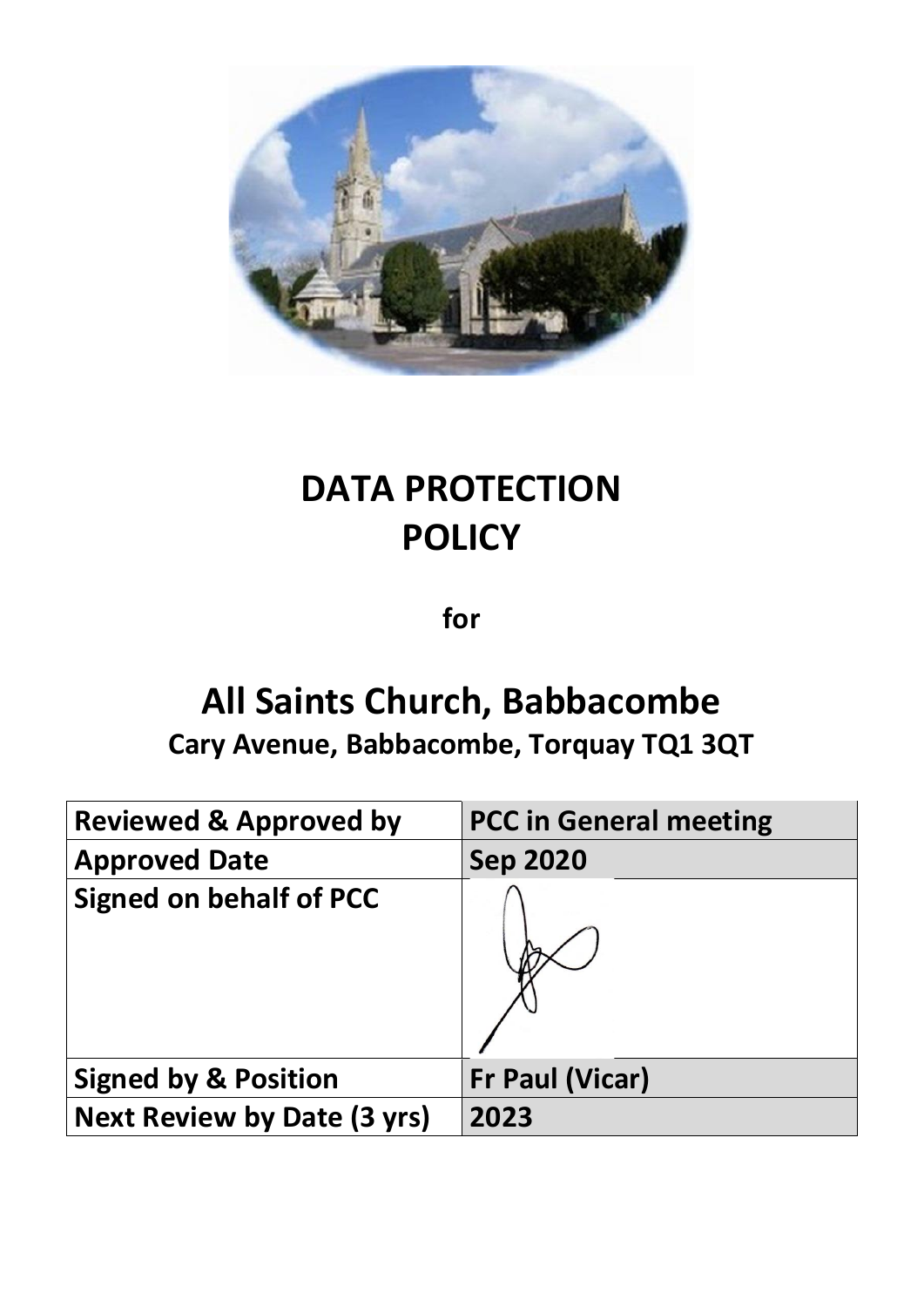

# **DATA PROTECTION POLICY**

**for**

## **All Saints Church, Babbacombe**

**Cary Avenue, Babbacombe, Torquay TQ1 3QT**

| <b>Reviewed &amp; Approved by</b>  | <b>PCC in General meeting</b> |
|------------------------------------|-------------------------------|
| <b>Approved Date</b>               | <b>Sep 2020</b>               |
| <b>Signed on behalf of PCC</b>     |                               |
| <b>Signed by &amp; Position</b>    | <b>Fr Paul (Vicar)</b>        |
| <b>Next Review by Date (3 yrs)</b> | 2023                          |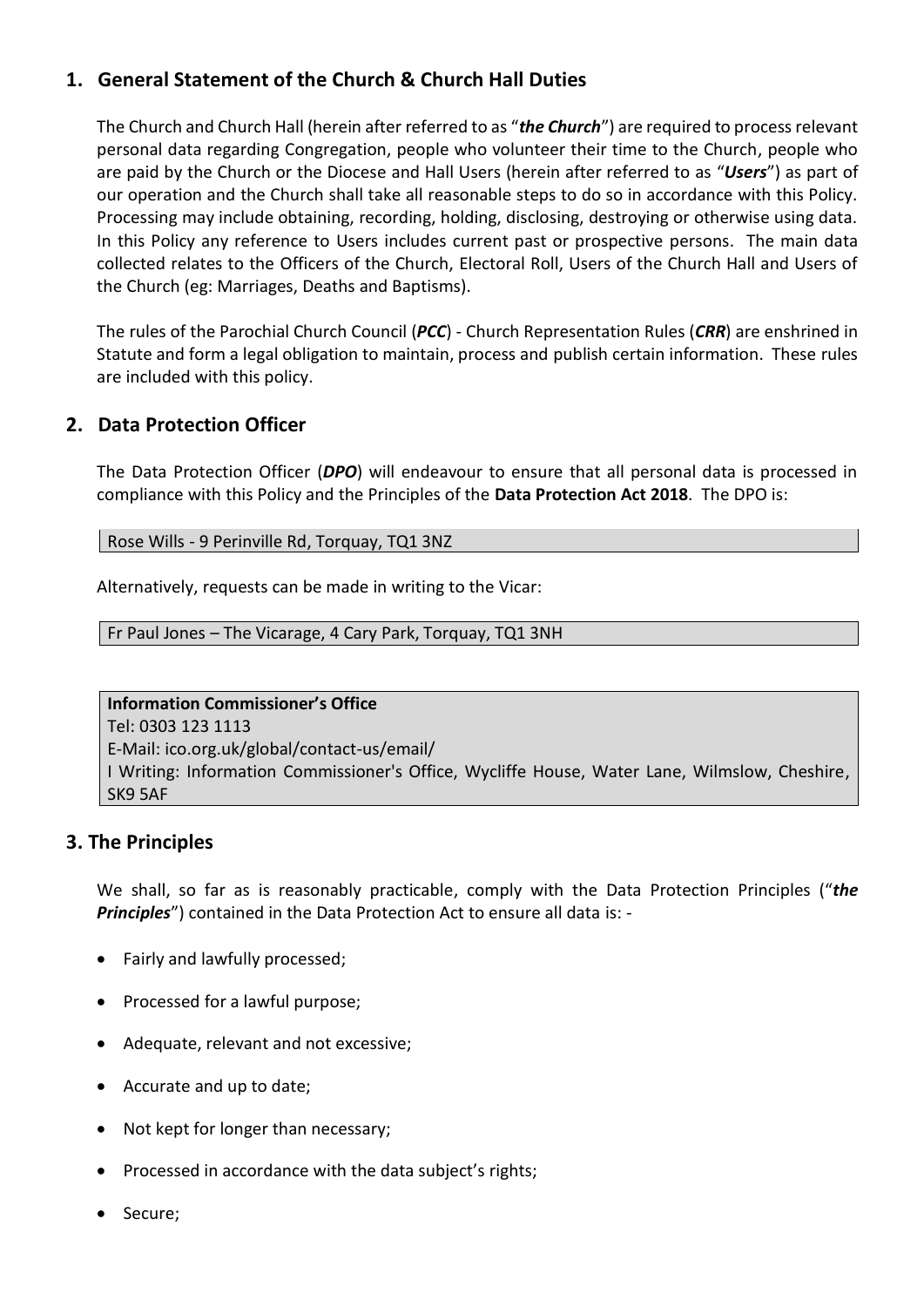## **1. General Statement of the Church & Church Hall Duties**

The Church and Church Hall (herein after referred to as "*the Church*") are required to process relevant personal data regarding Congregation, people who volunteer their time to the Church, people who are paid by the Church or the Diocese and Hall Users (herein after referred to as "*Users*") as part of our operation and the Church shall take all reasonable steps to do so in accordance with this Policy. Processing may include obtaining, recording, holding, disclosing, destroying or otherwise using data. In this Policy any reference to Users includes current past or prospective persons. The main data collected relates to the Officers of the Church, Electoral Roll, Users of the Church Hall and Users of the Church (eg: Marriages, Deaths and Baptisms).

The rules of the Parochial Church Council (*PCC*) - Church Representation Rules (*CRR*) are enshrined in Statute and form a legal obligation to maintain, process and publish certain information. These rules are included with this policy.

## **2. Data Protection Officer**

The Data Protection Officer (*DPO*) will endeavour to ensure that all personal data is processed in compliance with this Policy and the Principles of the **Data Protection Act 2018**. The DPO is:

Rose Wills - 9 Perinville Rd, Torquay, TQ1 3NZ

Alternatively, requests can be made in writing to the Vicar:

Fr Paul Jones – The Vicarage, 4 Cary Park, Torquay, TQ1 3NH

**Information Commissioner's Office** Tel: 0303 123 1113 E-Mail: ico.org.uk/global/contact-us/email/ I Writing: Information Commissioner's Office, Wycliffe House, Water Lane, Wilmslow, Cheshire, SK9 5AF

## **3. The Principles**

We shall, so far as is reasonably practicable, comply with the Data Protection Principles ("*the Principles*") contained in the Data Protection Act to ensure all data is: -

- Fairly and lawfully processed;
- Processed for a lawful purpose;
- Adequate, relevant and not excessive;
- Accurate and up to date;
- Not kept for longer than necessary;
- Processed in accordance with the data subject's rights;
- Secure;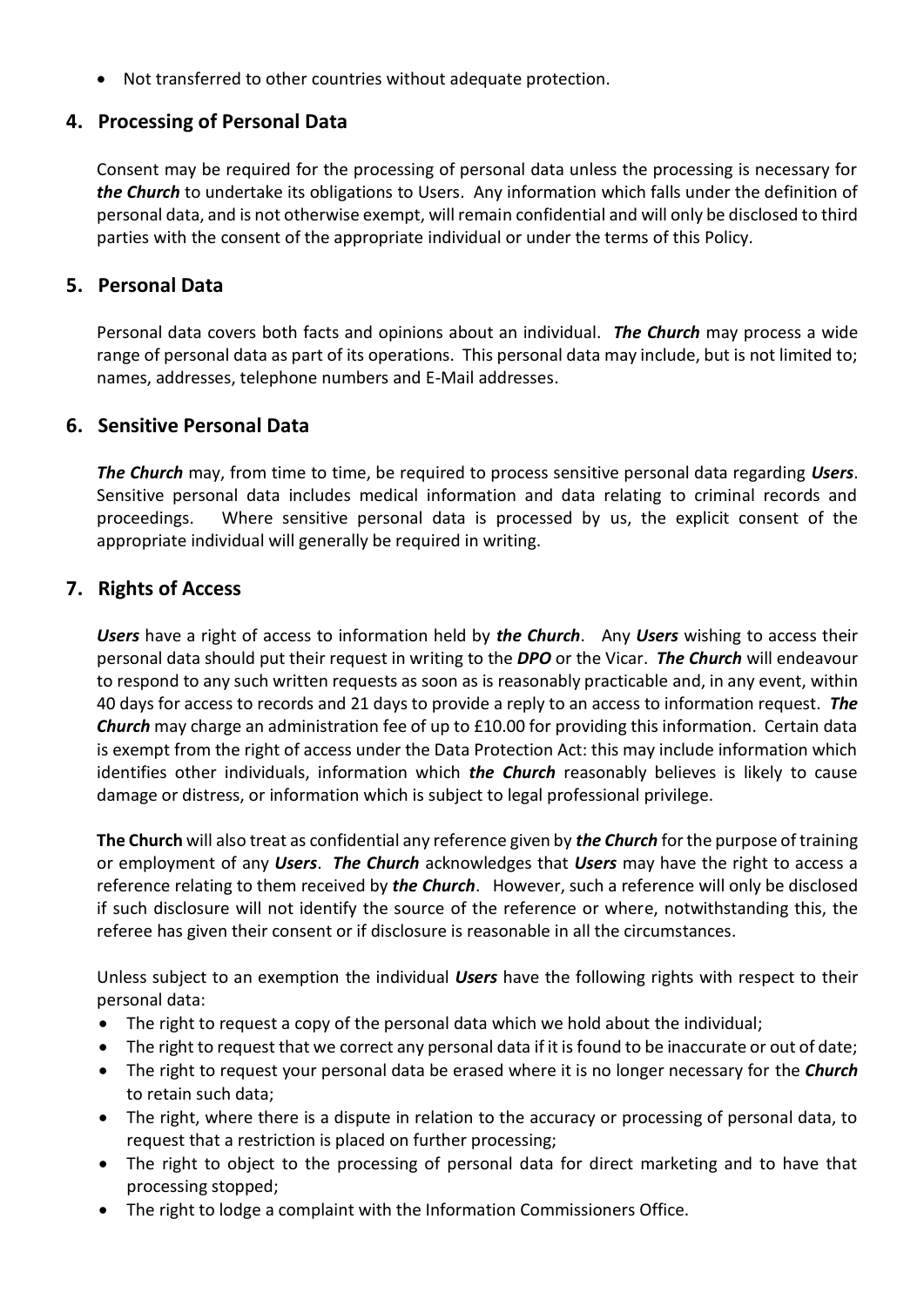• Not transferred to other countries without adequate protection.

## **4. Processing of Personal Data**

Consent may be required for the processing of personal data unless the processing is necessary for *the Church* to undertake its obligations to Users. Any information which falls under the definition of personal data, and is not otherwise exempt, will remain confidential and will only be disclosed to third parties with the consent of the appropriate individual or under the terms of this Policy.

#### **5. Personal Data**

Personal data covers both facts and opinions about an individual. *The Church* may process a wide range of personal data as part of its operations. This personal data may include, but is not limited to; names, addresses, telephone numbers and E-Mail addresses.

## **6. Sensitive Personal Data**

*The Church* may, from time to time, be required to process sensitive personal data regarding *Users*. Sensitive personal data includes medical information and data relating to criminal records and proceedings. Where sensitive personal data is processed by us, the explicit consent of the appropriate individual will generally be required in writing.

#### **7. Rights of Access**

*Users* have a right of access to information held by *the Church*. Any *Users* wishing to access their personal data should put their request in writing to the *DPO* or the Vicar. *The Church* will endeavour to respond to any such written requests as soon as is reasonably practicable and, in any event, within 40 days for access to records and 21 days to provide a reply to an access to information request. *The Church* may charge an administration fee of up to £10.00 for providing this information. Certain data is exempt from the right of access under the Data Protection Act: this may include information which identifies other individuals, information which *the Church* reasonably believes is likely to cause damage or distress, or information which is subject to legal professional privilege.

**The Church** will also treat as confidential any reference given by *the Church* for the purpose of training or employment of any *Users*. *The Church* acknowledges that *Users* may have the right to access a reference relating to them received by *the Church*. However, such a reference will only be disclosed if such disclosure will not identify the source of the reference or where, notwithstanding this, the referee has given their consent or if disclosure is reasonable in all the circumstances.

Unless subject to an exemption the individual *Users* have the following rights with respect to their personal data:

- The right to request a copy of the personal data which we hold about the individual;
- The right to request that we correct any personal data if it is found to be inaccurate or out of date;
- The right to request your personal data be erased where it is no longer necessary for the *Church* to retain such data;
- The right, where there is a dispute in relation to the accuracy or processing of personal data, to request that a restriction is placed on further processing;
- The right to object to the processing of personal data for direct marketing and to have that processing stopped;
- The right to lodge a complaint with the Information Commissioners Office.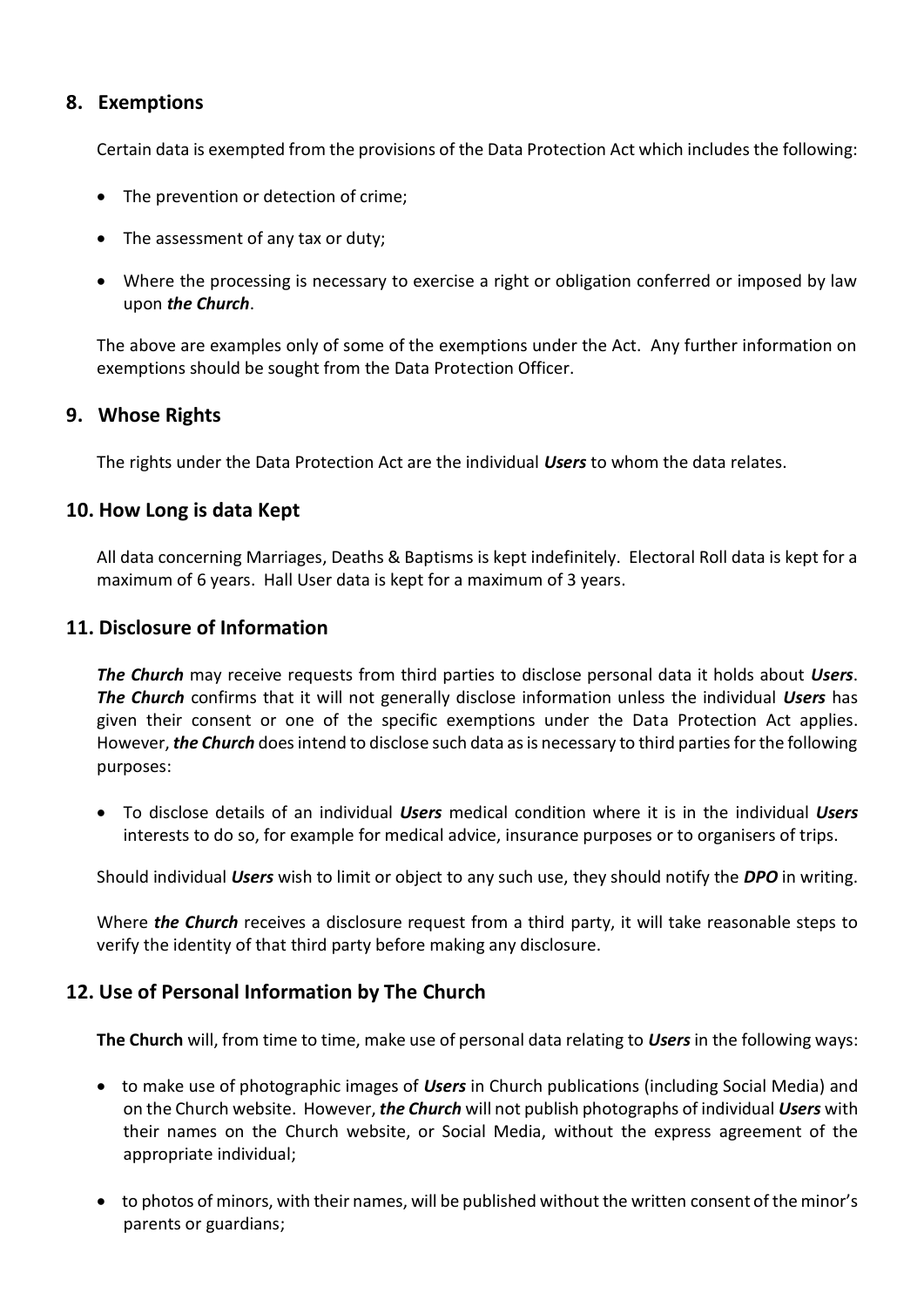## **8. Exemptions**

Certain data is exempted from the provisions of the Data Protection Act which includes the following:

- The prevention or detection of crime;
- The assessment of any tax or duty;
- Where the processing is necessary to exercise a right or obligation conferred or imposed by law upon *the Church*.

The above are examples only of some of the exemptions under the Act. Any further information on exemptions should be sought from the Data Protection Officer.

#### **9. Whose Rights**

The rights under the Data Protection Act are the individual *Users* to whom the data relates.

#### **10. How Long is data Kept**

All data concerning Marriages, Deaths & Baptisms is kept indefinitely. Electoral Roll data is kept for a maximum of 6 years. Hall User data is kept for a maximum of 3 years.

#### **11. Disclosure of Information**

*The Church* may receive requests from third parties to disclose personal data it holds about *Users*. *The Church* confirms that it will not generally disclose information unless the individual *Users* has given their consent or one of the specific exemptions under the Data Protection Act applies. However, *the Church* does intend to disclose such data as is necessary to third parties for the following purposes:

• To disclose details of an individual *Users* medical condition where it is in the individual *Users* interests to do so, for example for medical advice, insurance purposes or to organisers of trips.

Should individual *Users* wish to limit or object to any such use, they should notify the *DPO* in writing.

Where *the Church* receives a disclosure request from a third party, it will take reasonable steps to verify the identity of that third party before making any disclosure.

## **12. Use of Personal Information by The Church**

**The Church** will, from time to time, make use of personal data relating to *Users* in the following ways:

- to make use of photographic images of *Users* in Church publications (including Social Media) and on the Church website. However, *the Church* will not publish photographs of individual *Users* with their names on the Church website, or Social Media, without the express agreement of the appropriate individual;
- to photos of minors, with their names, will be published without the written consent of the minor's parents or guardians;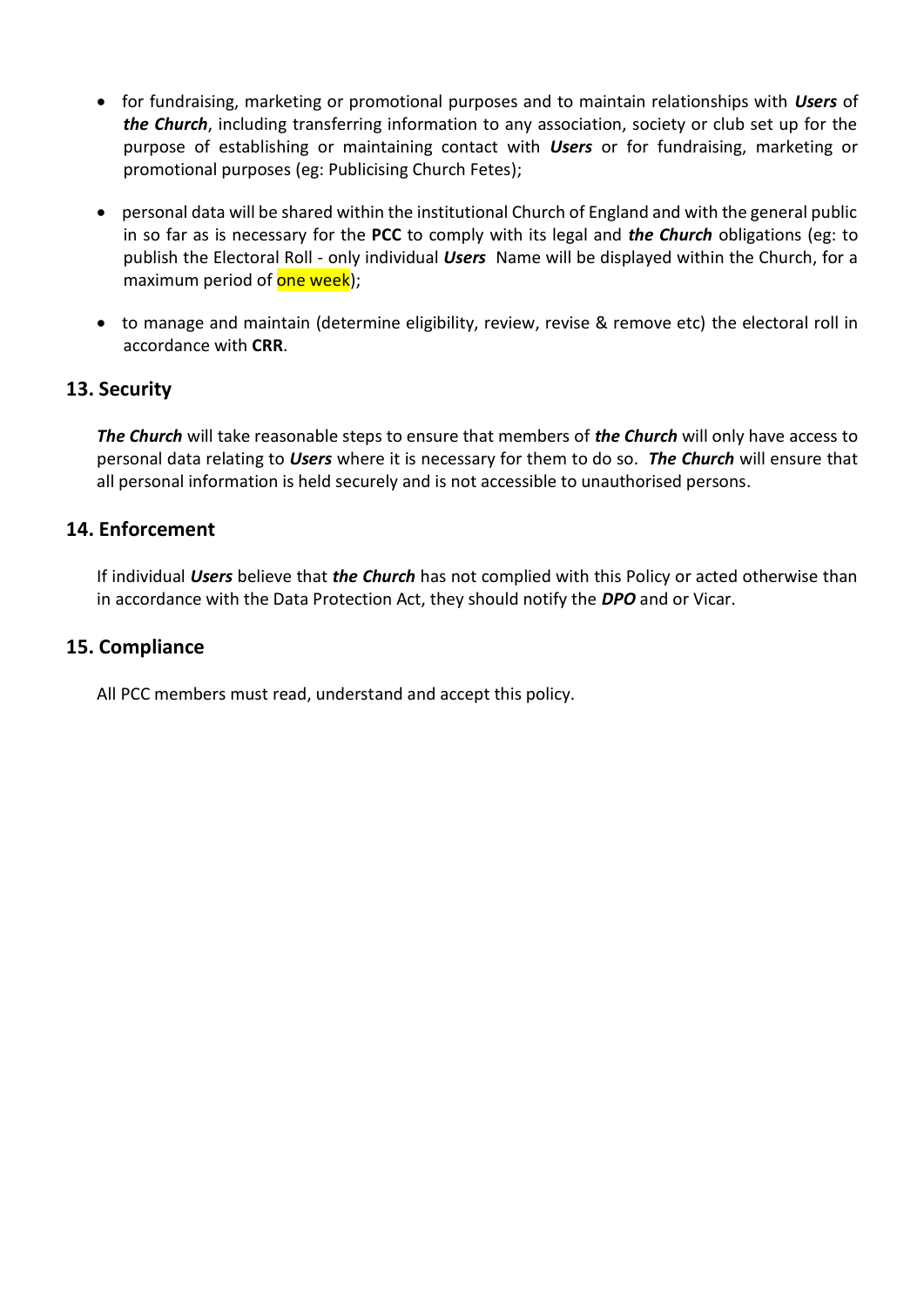- for fundraising, marketing or promotional purposes and to maintain relationships with *Users* of *the Church*, including transferring information to any association, society or club set up for the purpose of establishing or maintaining contact with *Users* or for fundraising, marketing or promotional purposes (eg: Publicising Church Fetes);
- personal data will be shared within the institutional Church of England and with the general public in so far as is necessary for the **PCC** to comply with its legal and *the Church* obligations (eg: to publish the Electoral Roll - only individual *Users* Name will be displayed within the Church, for a maximum period of one week);
- to manage and maintain (determine eligibility, review, revise & remove etc) the electoral roll in accordance with **CRR**.

## **13. Security**

*The Church* will take reasonable steps to ensure that members of *the Church* will only have access to personal data relating to *Users* where it is necessary for them to do so. *The Church* will ensure that all personal information is held securely and is not accessible to unauthorised persons.

## **14. Enforcement**

If individual *Users* believe that *the Church* has not complied with this Policy or acted otherwise than in accordance with the Data Protection Act, they should notify the *DPO* and or Vicar.

## **15. Compliance**

All PCC members must read, understand and accept this policy.